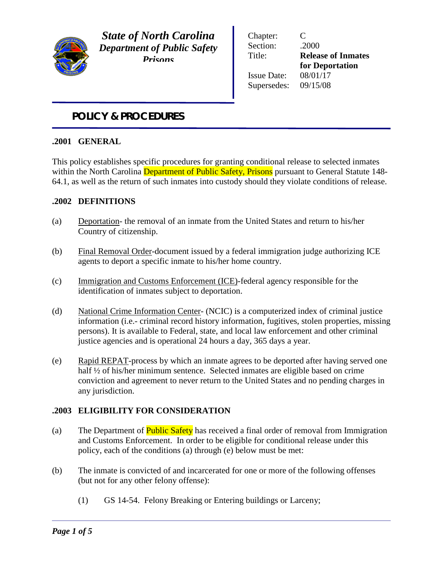

*State of North Carolina Department of Public Safety Prisons*

Chapter: C Section: .2000 Title: **Release of Inmates for Deportation** Issue Date: 08/01/17 Supersedes: 09/15/08

# *POLICY & PROCEDURES*

## **.2001 GENERAL**

This policy establishes specific procedures for granting conditional release to selected inmates within the North Carolina Department of Public Safety, Prisons pursuant to General Statute 148-64.1, as well as the return of such inmates into custody should they violate conditions of release.

## **.2002 DEFINITIONS**

- (a) Deportation- the removal of an inmate from the United States and return to his/her Country of citizenship.
- (b) Final Removal Order-document issued by a federal immigration judge authorizing ICE agents to deport a specific inmate to his/her home country.
- (c) Immigration and Customs Enforcement (ICE)-federal agency responsible for the identification of inmates subject to deportation.
- (d) National Crime Information Center- (NCIC) is a computerized index of criminal justice information (i.e.- criminal record history information, fugitives, stolen properties, missing persons). It is available to Federal, state, and local law enforcement and other criminal justice agencies and is operational 24 hours a day, 365 days a year.
- (e) Rapid REPAT-process by which an inmate agrees to be deported after having served one half <sup>1/2</sup> of his/her minimum sentence. Selected inmates are eligible based on crime conviction and agreement to never return to the United States and no pending charges in any jurisdiction.

## **.2003 ELIGIBILITY FOR CONSIDERATION**

- (a) The Department of **Public Safety** has received a final order of removal from Immigration and Customs Enforcement. In order to be eligible for conditional release under this policy, each of the conditions (a) through (e) below must be met:
- (b) The inmate is convicted of and incarcerated for one or more of the following offenses (but not for any other felony offense):
	- (1) GS 14-54. Felony Breaking or Entering buildings or Larceny;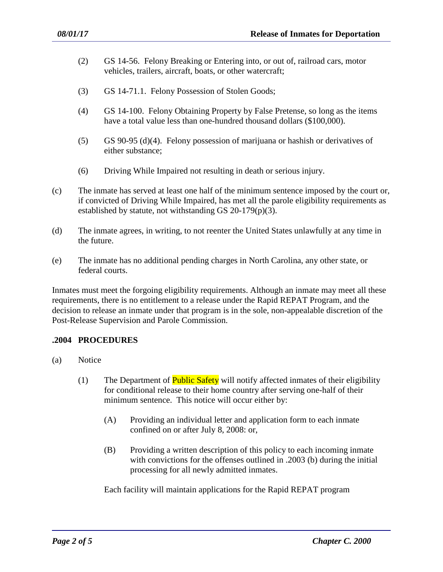- (2) GS 14-56. Felony Breaking or Entering into, or out of, railroad cars, motor vehicles, trailers, aircraft, boats, or other watercraft;
- (3) GS 14-71.1. Felony Possession of Stolen Goods;
- (4) GS 14-100. Felony Obtaining Property by False Pretense, so long as the items have a total value less than one-hundred thousand dollars (\$100,000).
- (5) GS 90-95 (d)(4). Felony possession of marijuana or hashish or derivatives of either substance;
- (6) Driving While Impaired not resulting in death or serious injury.
- (c) The inmate has served at least one half of the minimum sentence imposed by the court or, if convicted of Driving While Impaired, has met all the parole eligibility requirements as established by statute, not withstanding GS 20-179(p)(3).
- (d) The inmate agrees, in writing, to not reenter the United States unlawfully at any time in the future.
- (e) The inmate has no additional pending charges in North Carolina, any other state, or federal courts.

Inmates must meet the forgoing eligibility requirements. Although an inmate may meet all these requirements, there is no entitlement to a release under the Rapid REPAT Program, and the decision to release an inmate under that program is in the sole, non-appealable discretion of the Post-Release Supervision and Parole Commission.

## **.2004 PROCEDURES**

- (a) Notice
	- (1) The Department of **Public Safety** will notify affected inmates of their eligibility for conditional release to their home country after serving one-half of their minimum sentence. This notice will occur either by:
		- (A) Providing an individual letter and application form to each inmate confined on or after July 8, 2008: or,
		- (B) Providing a written description of this policy to each incoming inmate with convictions for the offenses outlined in .2003 (b) during the initial processing for all newly admitted inmates.

Each facility will maintain applications for the Rapid REPAT program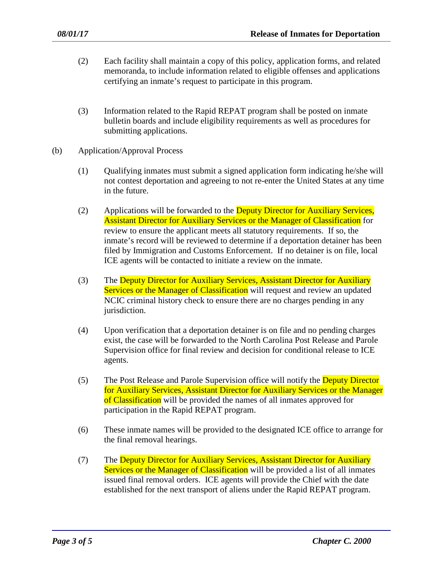- (2) Each facility shall maintain a copy of this policy, application forms, and related memoranda, to include information related to eligible offenses and applications certifying an inmate's request to participate in this program.
- (3) Information related to the Rapid REPAT program shall be posted on inmate bulletin boards and include eligibility requirements as well as procedures for submitting applications.
- (b) Application/Approval Process
	- (1) Qualifying inmates must submit a signed application form indicating he/she will not contest deportation and agreeing to not re-enter the United States at any time in the future.
	- (2) Applications will be forwarded to the Deputy Director for Auxiliary Services, Assistant Director for Auxiliary Services or the Manager of Classification for review to ensure the applicant meets all statutory requirements. If so, the inmate's record will be reviewed to determine if a deportation detainer has been filed by Immigration and Customs Enforcement. If no detainer is on file, local ICE agents will be contacted to initiate a review on the inmate.
	- (3) The Deputy Director for Auxiliary Services, Assistant Director for Auxiliary Services or the Manager of Classification will request and review an updated NCIC criminal history check to ensure there are no charges pending in any jurisdiction.
	- (4) Upon verification that a deportation detainer is on file and no pending charges exist, the case will be forwarded to the North Carolina Post Release and Parole Supervision office for final review and decision for conditional release to ICE agents.
	- (5) The Post Release and Parole Supervision office will notify the Deputy Director for Auxiliary Services, Assistant Director for Auxiliary Services or the Manager of Classification will be provided the names of all inmates approved for participation in the Rapid REPAT program.
	- (6) These inmate names will be provided to the designated ICE office to arrange for the final removal hearings.
	- (7) The Deputy Director for Auxiliary Services, Assistant Director for Auxiliary Services or the Manager of Classification will be provided a list of all inmates issued final removal orders. ICE agents will provide the Chief with the date established for the next transport of aliens under the Rapid REPAT program.